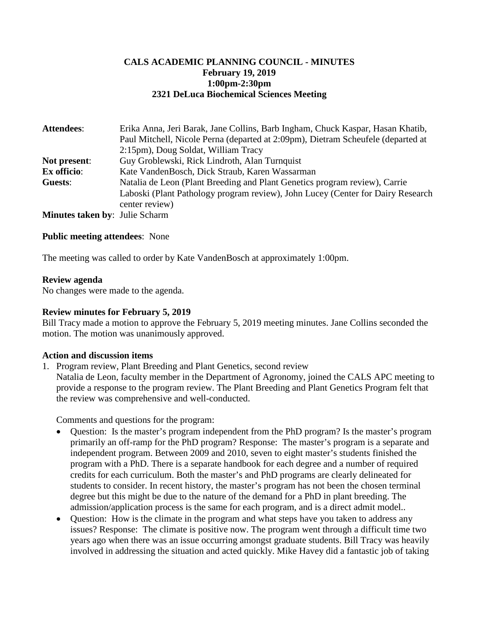### **CALS ACADEMIC PLANNING COUNCIL - MINUTES February 19, 2019 1:00pm-2:30pm 2321 DeLuca Biochemical Sciences Meeting**

| <b>Attendees:</b>                     | Erika Anna, Jeri Barak, Jane Collins, Barb Ingham, Chuck Kaspar, Hasan Khatib,   |
|---------------------------------------|----------------------------------------------------------------------------------|
|                                       | Paul Mitchell, Nicole Perna (departed at 2:09pm), Dietram Scheufele (departed at |
|                                       | 2:15pm), Doug Soldat, William Tracy                                              |
| Not present:                          | Guy Groblewski, Rick Lindroth, Alan Turnquist                                    |
| Ex officio:                           | Kate VandenBosch, Dick Straub, Karen Wassarman                                   |
| Guests:                               | Natalia de Leon (Plant Breeding and Plant Genetics program review), Carrie       |
|                                       | Laboski (Plant Pathology program review), John Lucey (Center for Dairy Research  |
|                                       | center review)                                                                   |
| <b>Minutes taken by: Julie Scharm</b> |                                                                                  |

**Public meeting attendees**: None

The meeting was called to order by Kate VandenBosch at approximately 1:00pm.

#### **Review agenda**

No changes were made to the agenda.

#### **Review minutes for February 5, 2019**

Bill Tracy made a motion to approve the February 5, 2019 meeting minutes. Jane Collins seconded the motion. The motion was unanimously approved.

#### **Action and discussion items**

- 1. Program review, Plant Breeding and Plant Genetics, second review
	- Natalia de Leon, faculty member in the Department of Agronomy, joined the CALS APC meeting to provide a response to the program review. The Plant Breeding and Plant Genetics Program felt that the review was comprehensive and well-conducted.

Comments and questions for the program:

- Ouestion: Is the master's program independent from the PhD program? Is the master's program primarily an off-ramp for the PhD program? Response: The master's program is a separate and independent program. Between 2009 and 2010, seven to eight master's students finished the program with a PhD. There is a separate handbook for each degree and a number of required credits for each curriculum. Both the master's and PhD programs are clearly delineated for students to consider. In recent history, the master's program has not been the chosen terminal degree but this might be due to the nature of the demand for a PhD in plant breeding. The admission/application process is the same for each program, and is a direct admit model..
- Question: How is the climate in the program and what steps have you taken to address any issues? Response: The climate is positive now. The program went through a difficult time two years ago when there was an issue occurring amongst graduate students. Bill Tracy was heavily involved in addressing the situation and acted quickly. Mike Havey did a fantastic job of taking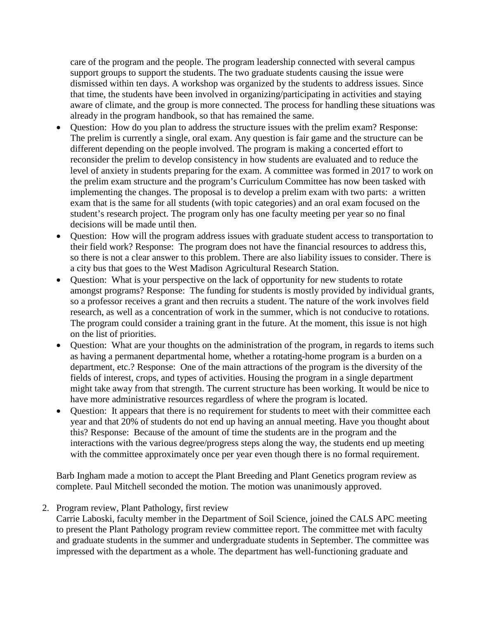care of the program and the people. The program leadership connected with several campus support groups to support the students. The two graduate students causing the issue were dismissed within ten days. A workshop was organized by the students to address issues. Since that time, the students have been involved in organizing/participating in activities and staying aware of climate, and the group is more connected. The process for handling these situations was already in the program handbook, so that has remained the same.

- Question: How do you plan to address the structure issues with the prelim exam? Response: The prelim is currently a single, oral exam. Any question is fair game and the structure can be different depending on the people involved. The program is making a concerted effort to reconsider the prelim to develop consistency in how students are evaluated and to reduce the level of anxiety in students preparing for the exam. A committee was formed in 2017 to work on the prelim exam structure and the program's Curriculum Committee has now been tasked with implementing the changes. The proposal is to develop a prelim exam with two parts: a written exam that is the same for all students (with topic categories) and an oral exam focused on the student's research project. The program only has one faculty meeting per year so no final decisions will be made until then.
- Question: How will the program address issues with graduate student access to transportation to their field work? Response: The program does not have the financial resources to address this, so there is not a clear answer to this problem. There are also liability issues to consider. There is a city bus that goes to the West Madison Agricultural Research Station.
- Question: What is your perspective on the lack of opportunity for new students to rotate amongst programs? Response: The funding for students is mostly provided by individual grants, so a professor receives a grant and then recruits a student. The nature of the work involves field research, as well as a concentration of work in the summer, which is not conducive to rotations. The program could consider a training grant in the future. At the moment, this issue is not high on the list of priorities.
- Question: What are your thoughts on the administration of the program, in regards to items such as having a permanent departmental home, whether a rotating-home program is a burden on a department, etc.? Response: One of the main attractions of the program is the diversity of the fields of interest, crops, and types of activities. Housing the program in a single department might take away from that strength. The current structure has been working. It would be nice to have more administrative resources regardless of where the program is located.
- Question: It appears that there is no requirement for students to meet with their committee each year and that 20% of students do not end up having an annual meeting. Have you thought about this? Response: Because of the amount of time the students are in the program and the interactions with the various degree/progress steps along the way, the students end up meeting with the committee approximately once per year even though there is no formal requirement.

Barb Ingham made a motion to accept the Plant Breeding and Plant Genetics program review as complete. Paul Mitchell seconded the motion. The motion was unanimously approved.

2. Program review, Plant Pathology, first review

Carrie Laboski, faculty member in the Department of Soil Science, joined the CALS APC meeting to present the Plant Pathology program review committee report. The committee met with faculty and graduate students in the summer and undergraduate students in September. The committee was impressed with the department as a whole. The department has well-functioning graduate and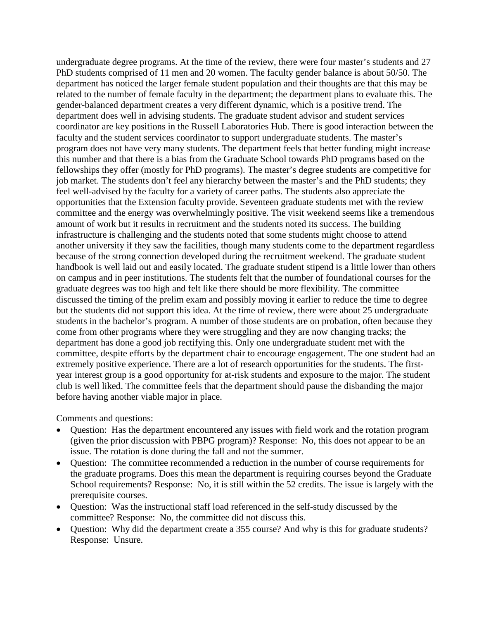undergraduate degree programs. At the time of the review, there were four master's students and 27 PhD students comprised of 11 men and 20 women. The faculty gender balance is about 50/50. The department has noticed the larger female student population and their thoughts are that this may be related to the number of female faculty in the department; the department plans to evaluate this. The gender-balanced department creates a very different dynamic, which is a positive trend. The department does well in advising students. The graduate student advisor and student services coordinator are key positions in the Russell Laboratories Hub. There is good interaction between the faculty and the student services coordinator to support undergraduate students. The master's program does not have very many students. The department feels that better funding might increase this number and that there is a bias from the Graduate School towards PhD programs based on the fellowships they offer (mostly for PhD programs). The master's degree students are competitive for job market. The students don't feel any hierarchy between the master's and the PhD students; they feel well-advised by the faculty for a variety of career paths. The students also appreciate the opportunities that the Extension faculty provide. Seventeen graduate students met with the review committee and the energy was overwhelmingly positive. The visit weekend seems like a tremendous amount of work but it results in recruitment and the students noted its success. The building infrastructure is challenging and the students noted that some students might choose to attend another university if they saw the facilities, though many students come to the department regardless because of the strong connection developed during the recruitment weekend. The graduate student handbook is well laid out and easily located. The graduate student stipend is a little lower than others on campus and in peer institutions. The students felt that the number of foundational courses for the graduate degrees was too high and felt like there should be more flexibility. The committee discussed the timing of the prelim exam and possibly moving it earlier to reduce the time to degree but the students did not support this idea. At the time of review, there were about 25 undergraduate students in the bachelor's program. A number of those students are on probation, often because they come from other programs where they were struggling and they are now changing tracks; the department has done a good job rectifying this. Only one undergraduate student met with the committee, despite efforts by the department chair to encourage engagement. The one student had an extremely positive experience. There are a lot of research opportunities for the students. The firstyear interest group is a good opportunity for at-risk students and exposure to the major. The student club is well liked. The committee feels that the department should pause the disbanding the major before having another viable major in place.

Comments and questions:

- Question: Has the department encountered any issues with field work and the rotation program (given the prior discussion with PBPG program)? Response: No, this does not appear to be an issue. The rotation is done during the fall and not the summer.
- Question: The committee recommended a reduction in the number of course requirements for the graduate programs. Does this mean the department is requiring courses beyond the Graduate School requirements? Response: No, it is still within the 52 credits. The issue is largely with the prerequisite courses.
- Question: Was the instructional staff load referenced in the self-study discussed by the committee? Response: No, the committee did not discuss this.
- Question: Why did the department create a 355 course? And why is this for graduate students? Response: Unsure.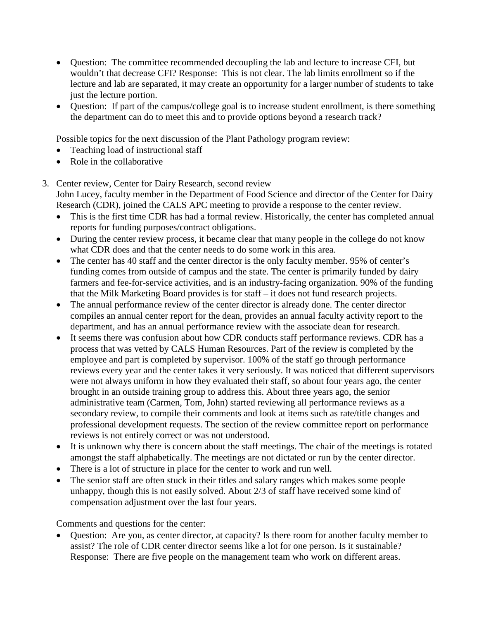- Question: The committee recommended decoupling the lab and lecture to increase CFI, but wouldn't that decrease CFI? Response: This is not clear. The lab limits enrollment so if the lecture and lab are separated, it may create an opportunity for a larger number of students to take just the lecture portion.
- Question: If part of the campus/college goal is to increase student enrollment, is there something the department can do to meet this and to provide options beyond a research track?

Possible topics for the next discussion of the Plant Pathology program review:

- Teaching load of instructional staff
- Role in the collaborative
- 3. Center review, Center for Dairy Research, second review John Lucey, faculty member in the Department of Food Science and director of the Center for Dairy Research (CDR), joined the CALS APC meeting to provide a response to the center review.
	- This is the first time CDR has had a formal review. Historically, the center has completed annual reports for funding purposes/contract obligations.
	- During the center review process, it became clear that many people in the college do not know what CDR does and that the center needs to do some work in this area.
	- The center has 40 staff and the center director is the only faculty member. 95% of center's funding comes from outside of campus and the state. The center is primarily funded by dairy farmers and fee-for-service activities, and is an industry-facing organization. 90% of the funding that the Milk Marketing Board provides is for staff – it does not fund research projects.
	- The annual performance review of the center director is already done. The center director compiles an annual center report for the dean, provides an annual faculty activity report to the department, and has an annual performance review with the associate dean for research.
	- It seems there was confusion about how CDR conducts staff performance reviews. CDR has a process that was vetted by CALS Human Resources. Part of the review is completed by the employee and part is completed by supervisor. 100% of the staff go through performance reviews every year and the center takes it very seriously. It was noticed that different supervisors were not always uniform in how they evaluated their staff, so about four years ago, the center brought in an outside training group to address this. About three years ago, the senior administrative team (Carmen, Tom, John) started reviewing all performance reviews as a secondary review, to compile their comments and look at items such as rate/title changes and professional development requests. The section of the review committee report on performance reviews is not entirely correct or was not understood.
	- It is unknown why there is concern about the staff meetings. The chair of the meetings is rotated amongst the staff alphabetically. The meetings are not dictated or run by the center director.
	- There is a lot of structure in place for the center to work and run well.
	- The senior staff are often stuck in their titles and salary ranges which makes some people unhappy, though this is not easily solved. About 2/3 of staff have received some kind of compensation adjustment over the last four years.

Comments and questions for the center:

• Question: Are you, as center director, at capacity? Is there room for another faculty member to assist? The role of CDR center director seems like a lot for one person. Is it sustainable? Response: There are five people on the management team who work on different areas.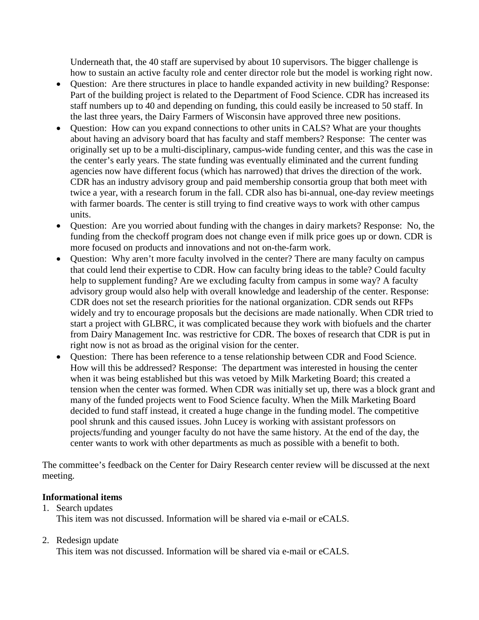Underneath that, the 40 staff are supervised by about 10 supervisors. The bigger challenge is how to sustain an active faculty role and center director role but the model is working right now.

- Ouestion: Are there structures in place to handle expanded activity in new building? Response: Part of the building project is related to the Department of Food Science. CDR has increased its staff numbers up to 40 and depending on funding, this could easily be increased to 50 staff. In the last three years, the Dairy Farmers of Wisconsin have approved three new positions.
- Question: How can you expand connections to other units in CALS? What are your thoughts about having an advisory board that has faculty and staff members? Response: The center was originally set up to be a multi-disciplinary, campus-wide funding center, and this was the case in the center's early years. The state funding was eventually eliminated and the current funding agencies now have different focus (which has narrowed) that drives the direction of the work. CDR has an industry advisory group and paid membership consortia group that both meet with twice a year, with a research forum in the fall. CDR also has bi-annual, one-day review meetings with farmer boards. The center is still trying to find creative ways to work with other campus units.
- Question: Are you worried about funding with the changes in dairy markets? Response: No, the funding from the checkoff program does not change even if milk price goes up or down. CDR is more focused on products and innovations and not on-the-farm work.
- Question: Why aren't more faculty involved in the center? There are many faculty on campus that could lend their expertise to CDR. How can faculty bring ideas to the table? Could faculty help to supplement funding? Are we excluding faculty from campus in some way? A faculty advisory group would also help with overall knowledge and leadership of the center. Response: CDR does not set the research priorities for the national organization. CDR sends out RFPs widely and try to encourage proposals but the decisions are made nationally. When CDR tried to start a project with GLBRC, it was complicated because they work with biofuels and the charter from Dairy Management Inc. was restrictive for CDR. The boxes of research that CDR is put in right now is not as broad as the original vision for the center.
- Question: There has been reference to a tense relationship between CDR and Food Science. How will this be addressed? Response: The department was interested in housing the center when it was being established but this was vetoed by Milk Marketing Board; this created a tension when the center was formed. When CDR was initially set up, there was a block grant and many of the funded projects went to Food Science faculty. When the Milk Marketing Board decided to fund staff instead, it created a huge change in the funding model. The competitive pool shrunk and this caused issues. John Lucey is working with assistant professors on projects/funding and younger faculty do not have the same history. At the end of the day, the center wants to work with other departments as much as possible with a benefit to both.

The committee's feedback on the Center for Dairy Research center review will be discussed at the next meeting.

# **Informational items**

1. Search updates This item was not discussed. Information will be shared via e-mail or eCALS.

# 2. Redesign update

This item was not discussed. Information will be shared via e-mail or eCALS.